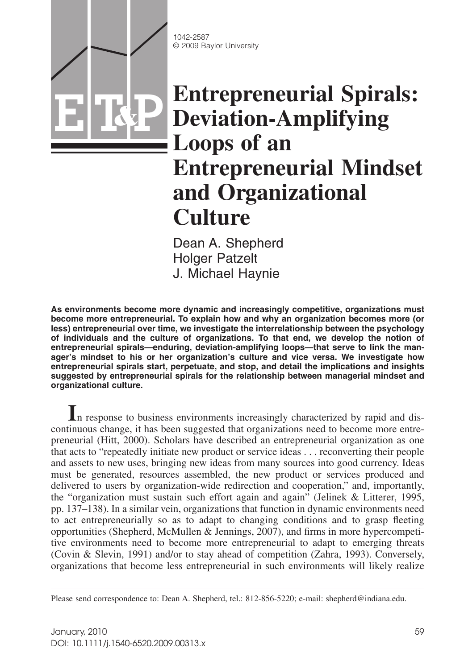1042-2587 © 2009 Baylor University

**E T&P**

# **Entrepreneurial Spirals: Deviation-Amplifying Loops of an Entrepreneurial Mindset and Organizational Culture**

Dean A. Shepherd Holger Patzelt J. Michael Haynie

**As environments become more dynamic and increasingly competitive, organizations must become more entrepreneurial. To explain how and why an organization becomes more (or less) entrepreneurial over time, we investigate the interrelationship between the psychology of individuals and the culture of organizations. To that end, we develop the notion of entrepreneurial spirals—enduring, deviation-amplifying loops—that serve to link the manager's mindset to his or her organization's culture and vice versa. We investigate how entrepreneurial spirals start, perpetuate, and stop, and detail the implications and insights suggested by entrepreneurial spirals for the relationship between managerial mindset and organizational culture.**

**I**n response to business environments increasingly characterized by rapid and discontinuous change, it has been suggested that organizations need to become more entrepreneurial (Hitt, 2000). Scholars have described an entrepreneurial organization as one that acts to "repeatedly initiate new product or service ideas... reconverting their people and assets to new uses, bringing new ideas from many sources into good currency. Ideas must be generated, resources assembled, the new product or services produced and delivered to users by organization-wide redirection and cooperation," and, importantly, the "organization must sustain such effort again and again" (Jelinek & Litterer, 1995, pp. 137–138). In a similar vein, organizations that function in dynamic environments need to act entrepreneurially so as to adapt to changing conditions and to grasp fleeting opportunities (Shepherd, McMullen & Jennings, 2007), and firms in more hypercompetitive environments need to become more entrepreneurial to adapt to emerging threats (Covin & Slevin, 1991) and/or to stay ahead of competition (Zahra, 1993). Conversely, organizations that become less entrepreneurial in such environments will likely realize

Please send correspondence to: Dean A. Shepherd, tel.: 812-856-5220; e-mail: shepherd@indiana.edu.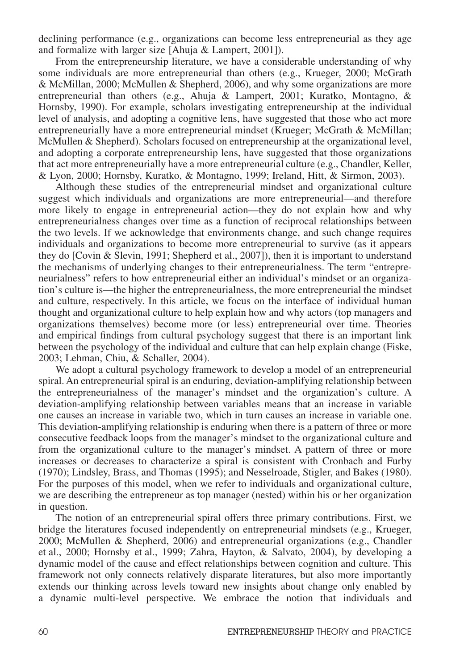declining performance (e.g., organizations can become less entrepreneurial as they age and formalize with larger size [Ahuja & Lampert, 2001]).

From the entrepreneurship literature, we have a considerable understanding of why some individuals are more entrepreneurial than others (e.g., Krueger, 2000; McGrath & McMillan, 2000; McMullen & Shepherd, 2006), and why some organizations are more entrepreneurial than others (e.g., Ahuja & Lampert, 2001; Kuratko, Montagno, & Hornsby, 1990). For example, scholars investigating entrepreneurship at the individual level of analysis, and adopting a cognitive lens, have suggested that those who act more entrepreneurially have a more entrepreneurial mindset (Krueger; McGrath & McMillan; McMullen & Shepherd). Scholars focused on entrepreneurship at the organizational level, and adopting a corporate entrepreneurship lens, have suggested that those organizations that act more entrepreneurially have a more entrepreneurial culture (e.g., Chandler, Keller, & Lyon, 2000; Hornsby, Kuratko, & Montagno, 1999; Ireland, Hitt, & Sirmon, 2003).

Although these studies of the entrepreneurial mindset and organizational culture suggest which individuals and organizations are more entrepreneurial—and therefore more likely to engage in entrepreneurial action—they do not explain how and why entrepreneurialness changes over time as a function of reciprocal relationships between the two levels. If we acknowledge that environments change, and such change requires individuals and organizations to become more entrepreneurial to survive (as it appears they do [Covin & Slevin, 1991; Shepherd et al., 2007]), then it is important to understand the mechanisms of underlying changes to their entrepreneurialness. The term "entrepreneurialness" refers to how entrepreneurial either an individual's mindset or an organization's culture is—the higher the entrepreneurialness, the more entrepreneurial the mindset and culture, respectively. In this article, we focus on the interface of individual human thought and organizational culture to help explain how and why actors (top managers and organizations themselves) become more (or less) entrepreneurial over time. Theories and empirical findings from cultural psychology suggest that there is an important link between the psychology of the individual and culture that can help explain change (Fiske, 2003; Lehman, Chiu, & Schaller, 2004).

We adopt a cultural psychology framework to develop a model of an entrepreneurial spiral. An entrepreneurial spiral is an enduring, deviation-amplifying relationship between the entrepreneurialness of the manager's mindset and the organization's culture. A deviation-amplifying relationship between variables means that an increase in variable one causes an increase in variable two, which in turn causes an increase in variable one. This deviation-amplifying relationship is enduring when there is a pattern of three or more consecutive feedback loops from the manager's mindset to the organizational culture and from the organizational culture to the manager's mindset. A pattern of three or more increases or decreases to characterize a spiral is consistent with Cronbach and Furby (1970); Lindsley, Brass, and Thomas (1995); and Nesselroade, Stigler, and Bakes (1980). For the purposes of this model, when we refer to individuals and organizational culture, we are describing the entrepreneur as top manager (nested) within his or her organization in question.

The notion of an entrepreneurial spiral offers three primary contributions. First, we bridge the literatures focused independently on entrepreneurial mindsets (e.g., Krueger, 2000; McMullen & Shepherd, 2006) and entrepreneurial organizations (e.g., Chandler et al., 2000; Hornsby et al., 1999; Zahra, Hayton, & Salvato, 2004), by developing a dynamic model of the cause and effect relationships between cognition and culture. This framework not only connects relatively disparate literatures, but also more importantly extends our thinking across levels toward new insights about change only enabled by a dynamic multi-level perspective. We embrace the notion that individuals and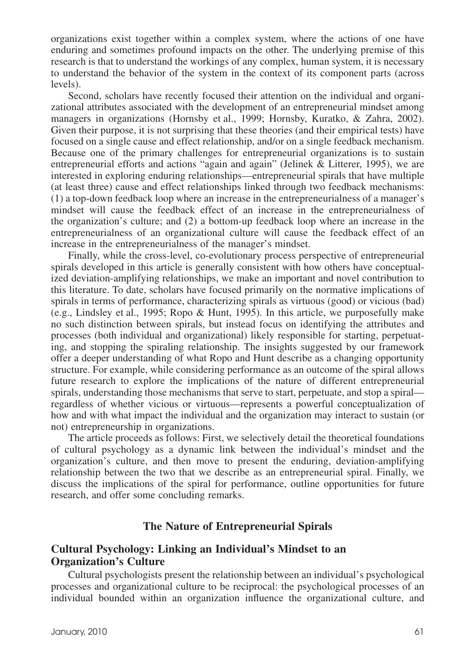organizations exist together within a complex system, where the actions of one have enduring and sometimes profound impacts on the other. The underlying premise of this research is that to understand the workings of any complex, human system, it is necessary to understand the behavior of the system in the context of its component parts (across levels).

Second, scholars have recently focused their attention on the individual and organizational attributes associated with the development of an entrepreneurial mindset among managers in organizations (Hornsby et al., 1999; Hornsby, Kuratko, & Zahra, 2002). Given their purpose, it is not surprising that these theories (and their empirical tests) have focused on a single cause and effect relationship, and/or on a single feedback mechanism. Because one of the primary challenges for entrepreneurial organizations is to sustain entrepreneurial efforts and actions "again and again" (Jelinek & Litterer, 1995), we are interested in exploring enduring relationships—entrepreneurial spirals that have multiple (at least three) cause and effect relationships linked through two feedback mechanisms: (1) a top-down feedback loop where an increase in the entrepreneurialness of a manager's mindset will cause the feedback effect of an increase in the entrepreneurialness of the organization's culture; and (2) a bottom-up feedback loop where an increase in the entrepreneurialness of an organizational culture will cause the feedback effect of an increase in the entrepreneurialness of the manager's mindset.

Finally, while the cross-level, co-evolutionary process perspective of entrepreneurial spirals developed in this article is generally consistent with how others have conceptualized deviation-amplifying relationships, we make an important and novel contribution to this literature. To date, scholars have focused primarily on the normative implications of spirals in terms of performance, characterizing spirals as virtuous (good) or vicious (bad) (e.g., Lindsley et al., 1995; Ropo & Hunt, 1995). In this article, we purposefully make no such distinction between spirals, but instead focus on identifying the attributes and processes (both individual and organizational) likely responsible for starting, perpetuating, and stopping the spiraling relationship. The insights suggested by our framework offer a deeper understanding of what Ropo and Hunt describe as a changing opportunity structure. For example, while considering performance as an outcome of the spiral allows future research to explore the implications of the nature of different entrepreneurial spirals, understanding those mechanisms that serve to start, perpetuate, and stop a spiral regardless of whether vicious or virtuous—represents a powerful conceptualization of how and with what impact the individual and the organization may interact to sustain (or not) entrepreneurship in organizations.

The article proceeds as follows: First, we selectively detail the theoretical foundations of cultural psychology as a dynamic link between the individual's mindset and the organization's culture, and then move to present the enduring, deviation-amplifying relationship between the two that we describe as an entrepreneurial spiral. Finally, we discuss the implications of the spiral for performance, outline opportunities for future research, and offer some concluding remarks.

# **The Nature of Entrepreneurial Spirals**

# **Cultural Psychology: Linking an Individual's Mindset to an Organization's Culture**

Cultural psychologists present the relationship between an individual's psychological processes and organizational culture to be reciprocal: the psychological processes of an individual bounded within an organization influence the organizational culture, and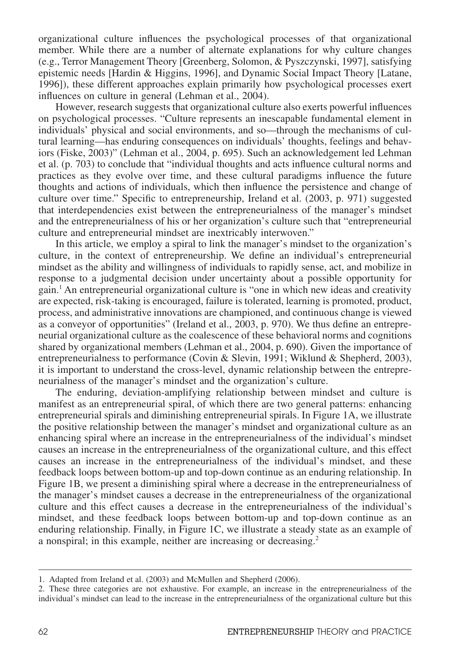organizational culture influences the psychological processes of that organizational member. While there are a number of alternate explanations for why culture changes (e.g., Terror Management Theory [Greenberg, Solomon, & Pyszczynski, 1997], satisfying epistemic needs [Hardin & Higgins, 1996], and Dynamic Social Impact Theory [Latane, 1996]), these different approaches explain primarily how psychological processes exert influences on culture in general (Lehman et al., 2004).

However, research suggests that organizational culture also exerts powerful influences on psychological processes. "Culture represents an inescapable fundamental element in individuals' physical and social environments, and so—through the mechanisms of cultural learning—has enduring consequences on individuals' thoughts, feelings and behaviors (Fiske, 2003)" (Lehman et al., 2004, p. 695). Such an acknowledgement led Lehman et al. (p. 703) to conclude that "individual thoughts and acts influence cultural norms and practices as they evolve over time, and these cultural paradigms influence the future thoughts and actions of individuals, which then influence the persistence and change of culture over time." Specific to entrepreneurship, Ireland et al. (2003, p. 971) suggested that interdependencies exist between the entrepreneurialness of the manager's mindset and the entrepreneurialness of his or her organization's culture such that "entrepreneurial culture and entrepreneurial mindset are inextricably interwoven."

In this article, we employ a spiral to link the manager's mindset to the organization's culture, in the context of entrepreneurship. We define an individual's entrepreneurial mindset as the ability and willingness of individuals to rapidly sense, act, and mobilize in response to a judgmental decision under uncertainty about a possible opportunity for gain.1 An entrepreneurial organizational culture is "one in which new ideas and creativity are expected, risk-taking is encouraged, failure is tolerated, learning is promoted, product, process, and administrative innovations are championed, and continuous change is viewed as a conveyor of opportunities" (Ireland et al., 2003, p. 970). We thus define an entrepreneurial organizational culture as the coalescence of these behavioral norms and cognitions shared by organizational members (Lehman et al., 2004, p. 690). Given the importance of entrepreneurialness to performance (Covin & Slevin, 1991; Wiklund & Shepherd, 2003), it is important to understand the cross-level, dynamic relationship between the entrepreneurialness of the manager's mindset and the organization's culture.

The enduring, deviation-amplifying relationship between mindset and culture is manifest as an entrepreneurial spiral, of which there are two general patterns: enhancing entrepreneurial spirals and diminishing entrepreneurial spirals. In Figure 1A, we illustrate the positive relationship between the manager's mindset and organizational culture as an enhancing spiral where an increase in the entrepreneurialness of the individual's mindset causes an increase in the entrepreneurialness of the organizational culture, and this effect causes an increase in the entrepreneurialness of the individual's mindset, and these feedback loops between bottom-up and top-down continue as an enduring relationship. In Figure 1B, we present a diminishing spiral where a decrease in the entrepreneurialness of the manager's mindset causes a decrease in the entrepreneurialness of the organizational culture and this effect causes a decrease in the entrepreneurialness of the individual's mindset, and these feedback loops between bottom-up and top-down continue as an enduring relationship. Finally, in Figure 1C, we illustrate a steady state as an example of a nonspiral; in this example, neither are increasing or decreasing.<sup>2</sup>

<sup>1.</sup> Adapted from Ireland et al. (2003) and McMullen and Shepherd (2006).

<sup>2.</sup> These three categories are not exhaustive. For example, an increase in the entrepreneurialness of the individual's mindset can lead to the increase in the entrepreneurialness of the organizational culture but this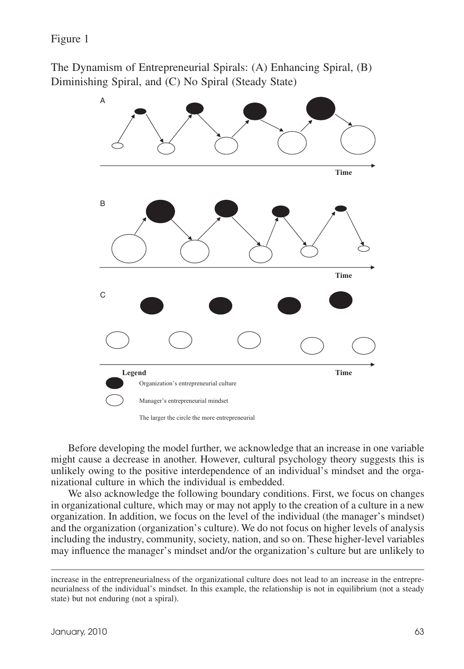The Dynamism of Entrepreneurial Spirals: (A) Enhancing Spiral, (B) Diminishing Spiral, and (C) No Spiral (Steady State)



Before developing the model further, we acknowledge that an increase in one variable might cause a decrease in another. However, cultural psychology theory suggests this is unlikely owing to the positive interdependence of an individual's mindset and the organizational culture in which the individual is embedded.

We also acknowledge the following boundary conditions. First, we focus on changes in organizational culture, which may or may not apply to the creation of a culture in a new organization. In addition, we focus on the level of the individual (the manager's mindset) and the organization (organization's culture). We do not focus on higher levels of analysis including the industry, community, society, nation, and so on. These higher-level variables may influence the manager's mindset and/or the organization's culture but are unlikely to

increase in the entrepreneurialness of the organizational culture does not lead to an increase in the entrepreneurialness of the individual's mindset. In this example, the relationship is not in equilibrium (not a steady state) but not enduring (not a spiral).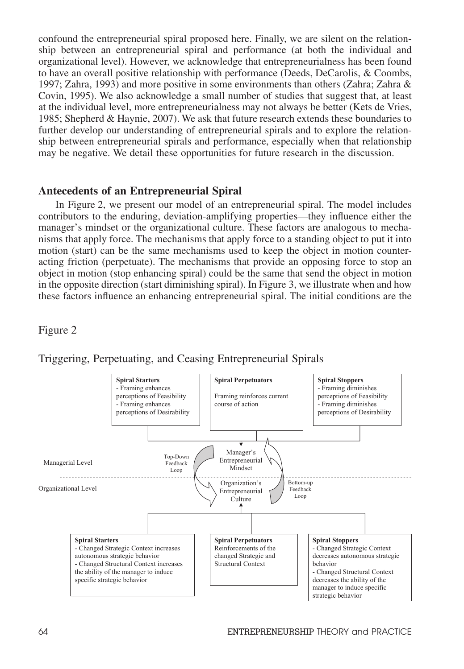confound the entrepreneurial spiral proposed here. Finally, we are silent on the relationship between an entrepreneurial spiral and performance (at both the individual and organizational level). However, we acknowledge that entrepreneurialness has been found to have an overall positive relationship with performance (Deeds, DeCarolis, & Coombs, 1997; Zahra, 1993) and more positive in some environments than others (Zahra; Zahra & Covin, 1995). We also acknowledge a small number of studies that suggest that, at least at the individual level, more entrepreneurialness may not always be better (Kets de Vries, 1985; Shepherd & Haynie, 2007). We ask that future research extends these boundaries to further develop our understanding of entrepreneurial spirals and to explore the relationship between entrepreneurial spirals and performance, especially when that relationship may be negative. We detail these opportunities for future research in the discussion.

### **Antecedents of an Entrepreneurial Spiral**

In Figure 2, we present our model of an entrepreneurial spiral. The model includes contributors to the enduring, deviation-amplifying properties—they influence either the manager's mindset or the organizational culture. These factors are analogous to mechanisms that apply force. The mechanisms that apply force to a standing object to put it into motion (start) can be the same mechanisms used to keep the object in motion counteracting friction (perpetuate). The mechanisms that provide an opposing force to stop an object in motion (stop enhancing spiral) could be the same that send the object in motion in the opposite direction (start diminishing spiral). In Figure 3, we illustrate when and how these factors influence an enhancing entrepreneurial spiral. The initial conditions are the

## Figure 2



### Triggering, Perpetuating, and Ceasing Entrepreneurial Spirals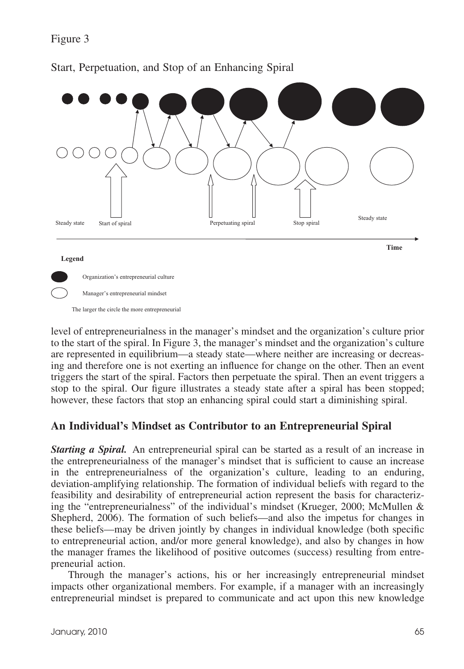# Figure 3



Start, Perpetuation, and Stop of an Enhancing Spiral

level of entrepreneurialness in the manager's mindset and the organization's culture prior to the start of the spiral. In Figure 3, the manager's mindset and the organization's culture are represented in equilibrium—a steady state—where neither are increasing or decreasing and therefore one is not exerting an influence for change on the other. Then an event triggers the start of the spiral. Factors then perpetuate the spiral. Then an event triggers a stop to the spiral. Our figure illustrates a steady state after a spiral has been stopped; however, these factors that stop an enhancing spiral could start a diminishing spiral.

# **An Individual's Mindset as Contributor to an Entrepreneurial Spiral**

*Starting a Spiral.* An entrepreneurial spiral can be started as a result of an increase in the entrepreneurialness of the manager's mindset that is sufficient to cause an increase in the entrepreneurialness of the organization's culture, leading to an enduring, deviation-amplifying relationship. The formation of individual beliefs with regard to the feasibility and desirability of entrepreneurial action represent the basis for characterizing the "entrepreneurialness" of the individual's mindset (Krueger, 2000; McMullen & Shepherd, 2006). The formation of such beliefs—and also the impetus for changes in these beliefs—may be driven jointly by changes in individual knowledge (both specific to entrepreneurial action, and/or more general knowledge), and also by changes in how the manager frames the likelihood of positive outcomes (success) resulting from entrepreneurial action.

Through the manager's actions, his or her increasingly entrepreneurial mindset impacts other organizational members. For example, if a manager with an increasingly entrepreneurial mindset is prepared to communicate and act upon this new knowledge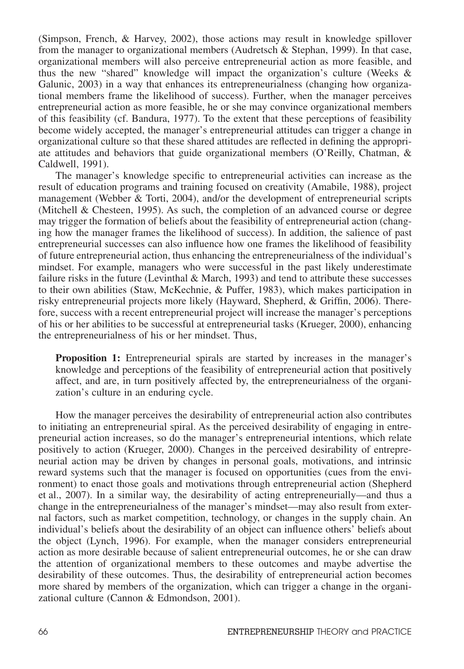(Simpson, French, & Harvey, 2002), those actions may result in knowledge spillover from the manager to organizational members (Audretsch & Stephan, 1999). In that case, organizational members will also perceive entrepreneurial action as more feasible, and thus the new "shared" knowledge will impact the organization's culture (Weeks & Galunic, 2003) in a way that enhances its entrepreneurialness (changing how organizational members frame the likelihood of success). Further, when the manager perceives entrepreneurial action as more feasible, he or she may convince organizational members of this feasibility (cf. Bandura, 1977). To the extent that these perceptions of feasibility become widely accepted, the manager's entrepreneurial attitudes can trigger a change in organizational culture so that these shared attitudes are reflected in defining the appropriate attitudes and behaviors that guide organizational members (O'Reilly, Chatman, & Caldwell, 1991).

The manager's knowledge specific to entrepreneurial activities can increase as the result of education programs and training focused on creativity (Amabile, 1988), project management (Webber & Torti, 2004), and/or the development of entrepreneurial scripts (Mitchell & Chesteen, 1995). As such, the completion of an advanced course or degree may trigger the formation of beliefs about the feasibility of entrepreneurial action (changing how the manager frames the likelihood of success). In addition, the salience of past entrepreneurial successes can also influence how one frames the likelihood of feasibility of future entrepreneurial action, thus enhancing the entrepreneurialness of the individual's mindset. For example, managers who were successful in the past likely underestimate failure risks in the future (Levinthal & March, 1993) and tend to attribute these successes to their own abilities (Staw, McKechnie, & Puffer, 1983), which makes participation in risky entrepreneurial projects more likely (Hayward, Shepherd, & Griffin, 2006). Therefore, success with a recent entrepreneurial project will increase the manager's perceptions of his or her abilities to be successful at entrepreneurial tasks (Krueger, 2000), enhancing the entrepreneurialness of his or her mindset. Thus,

**Proposition 1:** Entrepreneurial spirals are started by increases in the manager's knowledge and perceptions of the feasibility of entrepreneurial action that positively affect, and are, in turn positively affected by, the entrepreneurialness of the organization's culture in an enduring cycle.

How the manager perceives the desirability of entrepreneurial action also contributes to initiating an entrepreneurial spiral. As the perceived desirability of engaging in entrepreneurial action increases, so do the manager's entrepreneurial intentions, which relate positively to action (Krueger, 2000). Changes in the perceived desirability of entrepreneurial action may be driven by changes in personal goals, motivations, and intrinsic reward systems such that the manager is focused on opportunities (cues from the environment) to enact those goals and motivations through entrepreneurial action (Shepherd et al., 2007). In a similar way, the desirability of acting entrepreneurially—and thus a change in the entrepreneurialness of the manager's mindset—may also result from external factors, such as market competition, technology, or changes in the supply chain. An individual's beliefs about the desirability of an object can influence others' beliefs about the object (Lynch, 1996). For example, when the manager considers entrepreneurial action as more desirable because of salient entrepreneurial outcomes, he or she can draw the attention of organizational members to these outcomes and maybe advertise the desirability of these outcomes. Thus, the desirability of entrepreneurial action becomes more shared by members of the organization, which can trigger a change in the organizational culture (Cannon & Edmondson, 2001).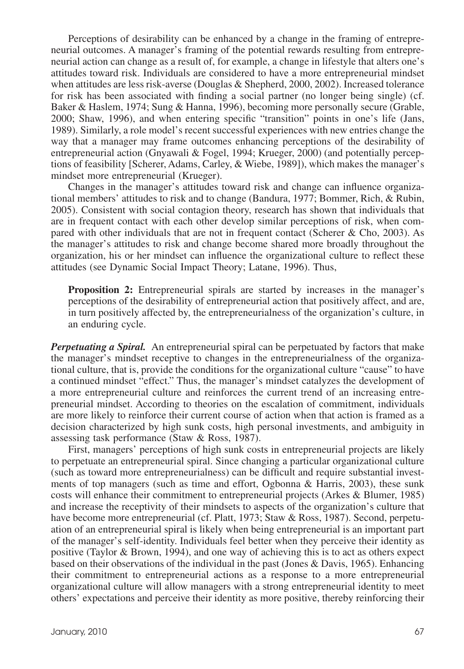Perceptions of desirability can be enhanced by a change in the framing of entrepreneurial outcomes. A manager's framing of the potential rewards resulting from entrepreneurial action can change as a result of, for example, a change in lifestyle that alters one's attitudes toward risk. Individuals are considered to have a more entrepreneurial mindset when attitudes are less risk-averse (Douglas & Shepherd, 2000, 2002). Increased tolerance for risk has been associated with finding a social partner (no longer being single) (cf. Baker & Haslem, 1974; Sung & Hanna, 1996), becoming more personally secure (Grable, 2000; Shaw, 1996), and when entering specific "transition" points in one's life (Jans, 1989). Similarly, a role model's recent successful experiences with new entries change the way that a manager may frame outcomes enhancing perceptions of the desirability of entrepreneurial action (Gnyawali & Fogel, 1994; Krueger, 2000) (and potentially perceptions of feasibility [Scherer, Adams, Carley, & Wiebe, 1989]), which makes the manager's mindset more entrepreneurial (Krueger).

Changes in the manager's attitudes toward risk and change can influence organizational members' attitudes to risk and to change (Bandura, 1977; Bommer, Rich, & Rubin, 2005). Consistent with social contagion theory, research has shown that individuals that are in frequent contact with each other develop similar perceptions of risk, when compared with other individuals that are not in frequent contact (Scherer & Cho, 2003). As the manager's attitudes to risk and change become shared more broadly throughout the organization, his or her mindset can influence the organizational culture to reflect these attitudes (see Dynamic Social Impact Theory; Latane, 1996). Thus,

**Proposition 2:** Entrepreneurial spirals are started by increases in the manager's perceptions of the desirability of entrepreneurial action that positively affect, and are, in turn positively affected by, the entrepreneurialness of the organization's culture, in an enduring cycle.

*Perpetuating a Spiral.* An entrepreneurial spiral can be perpetuated by factors that make the manager's mindset receptive to changes in the entrepreneurialness of the organizational culture, that is, provide the conditions for the organizational culture "cause" to have a continued mindset "effect." Thus, the manager's mindset catalyzes the development of a more entrepreneurial culture and reinforces the current trend of an increasing entrepreneurial mindset. According to theories on the escalation of commitment, individuals are more likely to reinforce their current course of action when that action is framed as a decision characterized by high sunk costs, high personal investments, and ambiguity in assessing task performance (Staw & Ross, 1987).

First, managers' perceptions of high sunk costs in entrepreneurial projects are likely to perpetuate an entrepreneurial spiral. Since changing a particular organizational culture (such as toward more entrepreneurialness) can be difficult and require substantial investments of top managers (such as time and effort, Ogbonna & Harris, 2003), these sunk costs will enhance their commitment to entrepreneurial projects (Arkes & Blumer, 1985) and increase the receptivity of their mindsets to aspects of the organization's culture that have become more entrepreneurial (cf. Platt, 1973; Staw & Ross, 1987). Second, perpetuation of an entrepreneurial spiral is likely when being entrepreneurial is an important part of the manager's self-identity. Individuals feel better when they perceive their identity as positive (Taylor & Brown, 1994), and one way of achieving this is to act as others expect based on their observations of the individual in the past (Jones & Davis, 1965). Enhancing their commitment to entrepreneurial actions as a response to a more entrepreneurial organizational culture will allow managers with a strong entrepreneurial identity to meet others' expectations and perceive their identity as more positive, thereby reinforcing their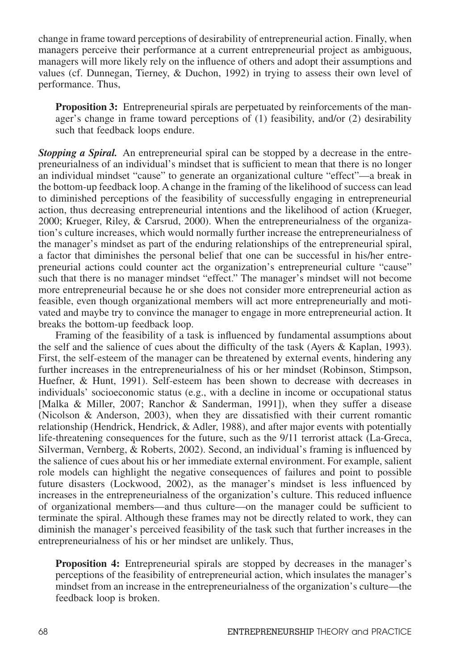change in frame toward perceptions of desirability of entrepreneurial action. Finally, when managers perceive their performance at a current entrepreneurial project as ambiguous, managers will more likely rely on the influence of others and adopt their assumptions and values (cf. Dunnegan, Tierney, & Duchon, 1992) in trying to assess their own level of performance. Thus,

**Proposition 3:** Entrepreneurial spirals are perpetuated by reinforcements of the manager's change in frame toward perceptions of (1) feasibility, and/or (2) desirability such that feedback loops endure.

*Stopping a Spiral.* An entrepreneurial spiral can be stopped by a decrease in the entrepreneurialness of an individual's mindset that is sufficient to mean that there is no longer an individual mindset "cause" to generate an organizational culture "effect"—a break in the bottom-up feedback loop. A change in the framing of the likelihood of success can lead to diminished perceptions of the feasibility of successfully engaging in entrepreneurial action, thus decreasing entrepreneurial intentions and the likelihood of action (Krueger, 2000; Krueger, Riley, & Carsrud, 2000). When the entrepreneurialness of the organization's culture increases, which would normally further increase the entrepreneurialness of the manager's mindset as part of the enduring relationships of the entrepreneurial spiral, a factor that diminishes the personal belief that one can be successful in his/her entrepreneurial actions could counter act the organization's entrepreneurial culture "cause" such that there is no manager mindset "effect." The manager's mindset will not become more entrepreneurial because he or she does not consider more entrepreneurial action as feasible, even though organizational members will act more entrepreneurially and motivated and maybe try to convince the manager to engage in more entrepreneurial action. It breaks the bottom-up feedback loop.

Framing of the feasibility of a task is influenced by fundamental assumptions about the self and the salience of cues about the difficulty of the task (Ayers & Kaplan, 1993). First, the self-esteem of the manager can be threatened by external events, hindering any further increases in the entrepreneurialness of his or her mindset (Robinson, Stimpson, Huefner, & Hunt, 1991). Self-esteem has been shown to decrease with decreases in individuals' socioeconomic status (e.g., with a decline in income or occupational status [Malka & Miller, 2007; Ranchor & Sanderman, 1991]), when they suffer a disease (Nicolson & Anderson, 2003), when they are dissatisfied with their current romantic relationship (Hendrick, Hendrick, & Adler, 1988), and after major events with potentially life-threatening consequences for the future, such as the 9/11 terrorist attack (La-Greca, Silverman, Vernberg, & Roberts, 2002). Second, an individual's framing is influenced by the salience of cues about his or her immediate external environment. For example, salient role models can highlight the negative consequences of failures and point to possible future disasters (Lockwood, 2002), as the manager's mindset is less influenced by increases in the entrepreneurialness of the organization's culture. This reduced influence of organizational members—and thus culture—on the manager could be sufficient to terminate the spiral. Although these frames may not be directly related to work, they can diminish the manager's perceived feasibility of the task such that further increases in the entrepreneurialness of his or her mindset are unlikely. Thus,

**Proposition 4:** Entrepreneurial spirals are stopped by decreases in the manager's perceptions of the feasibility of entrepreneurial action, which insulates the manager's mindset from an increase in the entrepreneurialness of the organization's culture—the feedback loop is broken.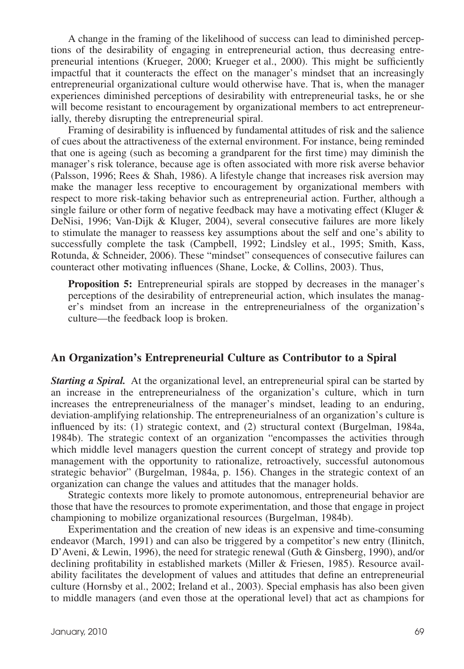A change in the framing of the likelihood of success can lead to diminished perceptions of the desirability of engaging in entrepreneurial action, thus decreasing entrepreneurial intentions (Krueger, 2000; Krueger et al., 2000). This might be sufficiently impactful that it counteracts the effect on the manager's mindset that an increasingly entrepreneurial organizational culture would otherwise have. That is, when the manager experiences diminished perceptions of desirability with entrepreneurial tasks, he or she will become resistant to encouragement by organizational members to act entrepreneurially, thereby disrupting the entrepreneurial spiral.

Framing of desirability is influenced by fundamental attitudes of risk and the salience of cues about the attractiveness of the external environment. For instance, being reminded that one is ageing (such as becoming a grandparent for the first time) may diminish the manager's risk tolerance, because age is often associated with more risk averse behavior (Palsson, 1996; Rees & Shah, 1986). A lifestyle change that increases risk aversion may make the manager less receptive to encouragement by organizational members with respect to more risk-taking behavior such as entrepreneurial action. Further, although a single failure or other form of negative feedback may have a motivating effect (Kluger & DeNisi, 1996; Van-Dijk & Kluger, 2004), several consecutive failures are more likely to stimulate the manager to reassess key assumptions about the self and one's ability to successfully complete the task (Campbell, 1992; Lindsley et al., 1995; Smith, Kass, Rotunda, & Schneider, 2006). These "mindset" consequences of consecutive failures can counteract other motivating influences (Shane, Locke, & Collins, 2003). Thus,

**Proposition 5:** Entrepreneurial spirals are stopped by decreases in the manager's perceptions of the desirability of entrepreneurial action, which insulates the manager's mindset from an increase in the entrepreneurialness of the organization's culture—the feedback loop is broken.

#### **An Organization's Entrepreneurial Culture as Contributor to a Spiral**

*Starting a Spiral.* At the organizational level, an entrepreneurial spiral can be started by an increase in the entrepreneurialness of the organization's culture, which in turn increases the entrepreneurialness of the manager's mindset, leading to an enduring, deviation-amplifying relationship. The entrepreneurialness of an organization's culture is influenced by its: (1) strategic context, and (2) structural context (Burgelman, 1984a, 1984b). The strategic context of an organization "encompasses the activities through which middle level managers question the current concept of strategy and provide top management with the opportunity to rationalize, retroactively, successful autonomous strategic behavior" (Burgelman, 1984a, p. 156). Changes in the strategic context of an organization can change the values and attitudes that the manager holds.

Strategic contexts more likely to promote autonomous, entrepreneurial behavior are those that have the resources to promote experimentation, and those that engage in project championing to mobilize organizational resources (Burgelman, 1984b).

Experimentation and the creation of new ideas is an expensive and time-consuming endeavor (March, 1991) and can also be triggered by a competitor's new entry (Ilinitch, D'Aveni, & Lewin, 1996), the need for strategic renewal (Guth & Ginsberg, 1990), and/or declining profitability in established markets (Miller & Friesen, 1985). Resource availability facilitates the development of values and attitudes that define an entrepreneurial culture (Hornsby et al., 2002; Ireland et al., 2003). Special emphasis has also been given to middle managers (and even those at the operational level) that act as champions for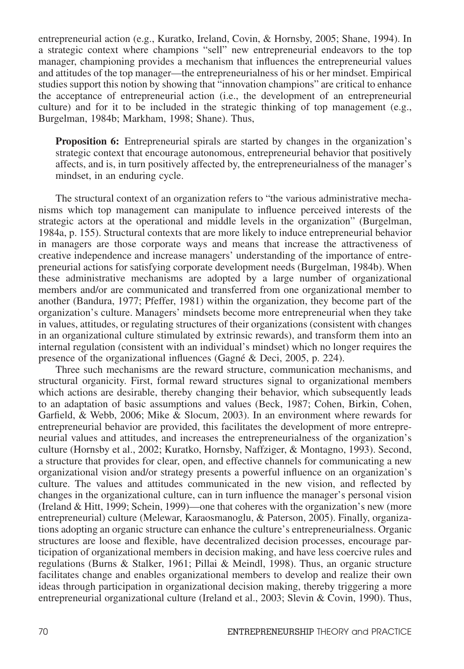entrepreneurial action (e.g., Kuratko, Ireland, Covin, & Hornsby, 2005; Shane, 1994). In a strategic context where champions "sell" new entrepreneurial endeavors to the top manager, championing provides a mechanism that influences the entrepreneurial values and attitudes of the top manager—the entrepreneurialness of his or her mindset. Empirical studies support this notion by showing that "innovation champions" are critical to enhance the acceptance of entrepreneurial action (i.e., the development of an entrepreneurial culture) and for it to be included in the strategic thinking of top management (e.g., Burgelman, 1984b; Markham, 1998; Shane). Thus,

**Proposition 6:** Entrepreneurial spirals are started by changes in the organization's strategic context that encourage autonomous, entrepreneurial behavior that positively affects, and is, in turn positively affected by, the entrepreneurialness of the manager's mindset, in an enduring cycle.

The structural context of an organization refers to "the various administrative mechanisms which top management can manipulate to influence perceived interests of the strategic actors at the operational and middle levels in the organization" (Burgelman, 1984a, p. 155). Structural contexts that are more likely to induce entrepreneurial behavior in managers are those corporate ways and means that increase the attractiveness of creative independence and increase managers' understanding of the importance of entrepreneurial actions for satisfying corporate development needs (Burgelman, 1984b). When these administrative mechanisms are adopted by a large number of organizational members and/or are communicated and transferred from one organizational member to another (Bandura, 1977; Pfeffer, 1981) within the organization, they become part of the organization's culture. Managers' mindsets become more entrepreneurial when they take in values, attitudes, or regulating structures of their organizations (consistent with changes in an organizational culture stimulated by extrinsic rewards), and transform them into an internal regulation (consistent with an individual's mindset) which no longer requires the presence of the organizational influences (Gagné & Deci, 2005, p. 224).

Three such mechanisms are the reward structure, communication mechanisms, and structural organicity. First, formal reward structures signal to organizational members which actions are desirable, thereby changing their behavior, which subsequently leads to an adaptation of basic assumptions and values (Beck, 1987; Cohen, Birkin, Cohen, Garfield, & Webb, 2006; Mike & Slocum, 2003). In an environment where rewards for entrepreneurial behavior are provided, this facilitates the development of more entrepreneurial values and attitudes, and increases the entrepreneurialness of the organization's culture (Hornsby et al., 2002; Kuratko, Hornsby, Naffziger, & Montagno, 1993). Second, a structure that provides for clear, open, and effective channels for communicating a new organizational vision and/or strategy presents a powerful influence on an organization's culture. The values and attitudes communicated in the new vision, and reflected by changes in the organizational culture, can in turn influence the manager's personal vision (Ireland & Hitt, 1999; Schein, 1999)—one that coheres with the organization's new (more entrepreneurial) culture (Melewar, Karaosmanoglu, & Paterson, 2005). Finally, organizations adopting an organic structure can enhance the culture's entrepreneurialness. Organic structures are loose and flexible, have decentralized decision processes, encourage participation of organizational members in decision making, and have less coercive rules and regulations (Burns & Stalker, 1961; Pillai & Meindl, 1998). Thus, an organic structure facilitates change and enables organizational members to develop and realize their own ideas through participation in organizational decision making, thereby triggering a more entrepreneurial organizational culture (Ireland et al., 2003; Slevin & Covin, 1990). Thus,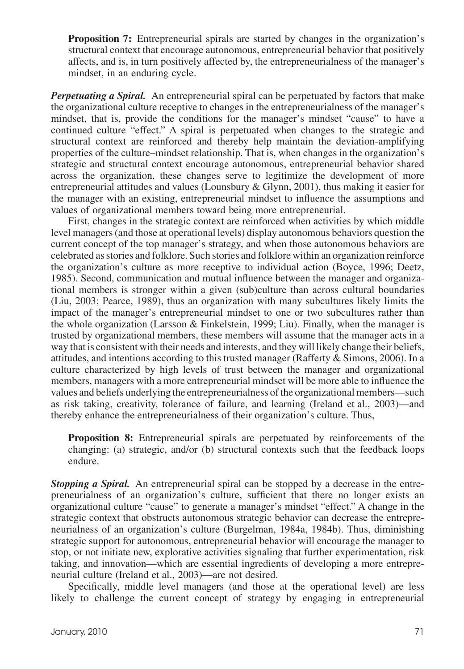**Proposition 7:** Entrepreneurial spirals are started by changes in the organization's structural context that encourage autonomous, entrepreneurial behavior that positively affects, and is, in turn positively affected by, the entrepreneurialness of the manager's mindset, in an enduring cycle.

*Perpetuating a Spiral.* An entrepreneurial spiral can be perpetuated by factors that make the organizational culture receptive to changes in the entrepreneurialness of the manager's mindset, that is, provide the conditions for the manager's mindset "cause" to have a continued culture "effect." A spiral is perpetuated when changes to the strategic and structural context are reinforced and thereby help maintain the deviation-amplifying properties of the culture–mindset relationship. That is, when changes in the organization's strategic and structural context encourage autonomous, entrepreneurial behavior shared across the organization, these changes serve to legitimize the development of more entrepreneurial attitudes and values (Lounsbury & Glynn, 2001), thus making it easier for the manager with an existing, entrepreneurial mindset to influence the assumptions and values of organizational members toward being more entrepreneurial.

First, changes in the strategic context are reinforced when activities by which middle level managers (and those at operational levels) display autonomous behaviors question the current concept of the top manager's strategy, and when those autonomous behaviors are celebrated as stories and folklore. Such stories and folklore within an organization reinforce the organization's culture as more receptive to individual action (Boyce, 1996; Deetz, 1985). Second, communication and mutual influence between the manager and organizational members is stronger within a given (sub)culture than across cultural boundaries (Liu, 2003; Pearce, 1989), thus an organization with many subcultures likely limits the impact of the manager's entrepreneurial mindset to one or two subcultures rather than the whole organization (Larsson  $\&$  Finkelstein, 1999; Liu). Finally, when the manager is trusted by organizational members, these members will assume that the manager acts in a way that is consistent with their needs and interests, and they will likely change their beliefs, attitudes, and intentions according to this trusted manager (Rafferty & Simons, 2006). In a culture characterized by high levels of trust between the manager and organizational members, managers with a more entrepreneurial mindset will be more able to influence the values and beliefs underlying the entrepreneurialness of the organizational members—such as risk taking, creativity, tolerance of failure, and learning (Ireland et al., 2003)—and thereby enhance the entrepreneurialness of their organization's culture. Thus,

**Proposition 8:** Entrepreneurial spirals are perpetuated by reinforcements of the changing: (a) strategic, and/or (b) structural contexts such that the feedback loops endure.

*Stopping a Spiral.* An entrepreneurial spiral can be stopped by a decrease in the entrepreneurialness of an organization's culture, sufficient that there no longer exists an organizational culture "cause" to generate a manager's mindset "effect." A change in the strategic context that obstructs autonomous strategic behavior can decrease the entrepreneurialness of an organization's culture (Burgelman, 1984a, 1984b). Thus, diminishing strategic support for autonomous, entrepreneurial behavior will encourage the manager to stop, or not initiate new, explorative activities signaling that further experimentation, risk taking, and innovation—which are essential ingredients of developing a more entrepreneurial culture (Ireland et al., 2003)—are not desired.

Specifically, middle level managers (and those at the operational level) are less likely to challenge the current concept of strategy by engaging in entrepreneurial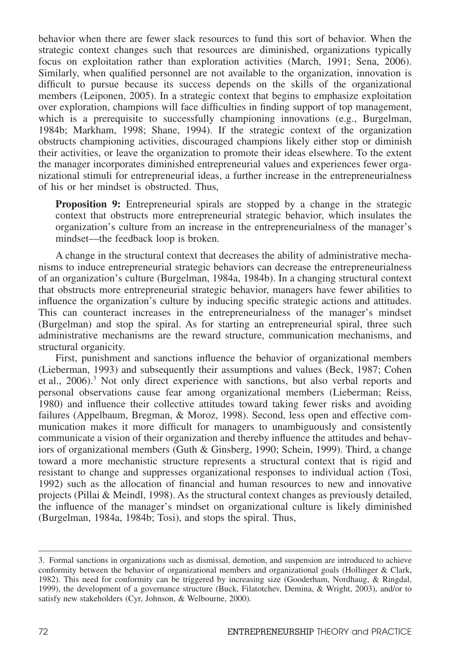behavior when there are fewer slack resources to fund this sort of behavior. When the strategic context changes such that resources are diminished, organizations typically focus on exploitation rather than exploration activities (March, 1991; Sena, 2006). Similarly, when qualified personnel are not available to the organization, innovation is difficult to pursue because its success depends on the skills of the organizational members (Leiponen, 2005). In a strategic context that begins to emphasize exploitation over exploration, champions will face difficulties in finding support of top management, which is a prerequisite to successfully championing innovations (e.g., Burgelman, 1984b; Markham, 1998; Shane, 1994). If the strategic context of the organization obstructs championing activities, discouraged champions likely either stop or diminish their activities, or leave the organization to promote their ideas elsewhere. To the extent the manager incorporates diminished entrepreneurial values and experiences fewer organizational stimuli for entrepreneurial ideas, a further increase in the entrepreneurialness of his or her mindset is obstructed. Thus,

**Proposition 9:** Entrepreneurial spirals are stopped by a change in the strategic context that obstructs more entrepreneurial strategic behavior, which insulates the organization's culture from an increase in the entrepreneurialness of the manager's mindset—the feedback loop is broken.

A change in the structural context that decreases the ability of administrative mechanisms to induce entrepreneurial strategic behaviors can decrease the entrepreneurialness of an organization's culture (Burgelman, 1984a, 1984b). In a changing structural context that obstructs more entrepreneurial strategic behavior, managers have fewer abilities to influence the organization's culture by inducing specific strategic actions and attitudes. This can counteract increases in the entrepreneurialness of the manager's mindset (Burgelman) and stop the spiral. As for starting an entrepreneurial spiral, three such administrative mechanisms are the reward structure, communication mechanisms, and structural organicity.

First, punishment and sanctions influence the behavior of organizational members (Lieberman, 1993) and subsequently their assumptions and values (Beck, 1987; Cohen et al., 2006).<sup>3</sup> Not only direct experience with sanctions, but also verbal reports and personal observations cause fear among organizational members (Lieberman; Reiss, 1980) and influence their collective attitudes toward taking fewer risks and avoiding failures (Appelbaum, Bregman, & Moroz, 1998). Second, less open and effective communication makes it more difficult for managers to unambiguously and consistently communicate a vision of their organization and thereby influence the attitudes and behaviors of organizational members (Guth & Ginsberg, 1990; Schein, 1999). Third, a change toward a more mechanistic structure represents a structural context that is rigid and resistant to change and suppresses organizational responses to individual action (Tosi, 1992) such as the allocation of financial and human resources to new and innovative projects (Pillai & Meindl, 1998). As the structural context changes as previously detailed, the influence of the manager's mindset on organizational culture is likely diminished (Burgelman, 1984a, 1984b; Tosi), and stops the spiral. Thus,

<sup>3.</sup> Formal sanctions in organizations such as dismissal, demotion, and suspension are introduced to achieve conformity between the behavior of organizational members and organizational goals (Hollinger & Clark, 1982). This need for conformity can be triggered by increasing size (Gooderham, Nordhaug, & Ringdal, 1999), the development of a governance structure (Buck, Filatotchev, Demina, & Wright, 2003), and/or to satisfy new stakeholders (Cyr, Johnson, & Welbourne, 2000).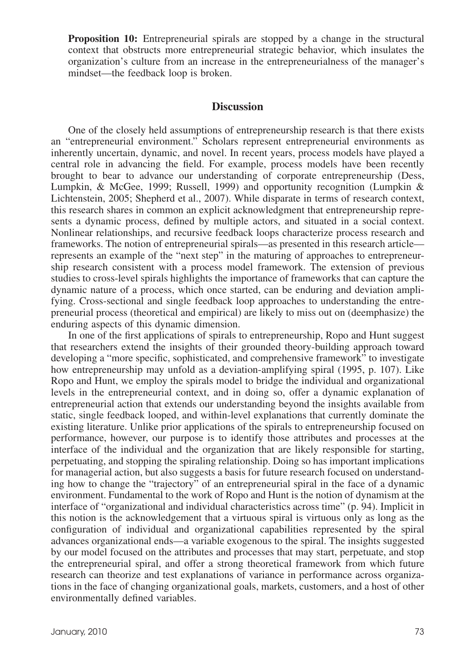**Proposition 10:** Entrepreneurial spirals are stopped by a change in the structural context that obstructs more entrepreneurial strategic behavior, which insulates the organization's culture from an increase in the entrepreneurialness of the manager's mindset—the feedback loop is broken.

## **Discussion**

One of the closely held assumptions of entrepreneurship research is that there exists an "entrepreneurial environment." Scholars represent entrepreneurial environments as inherently uncertain, dynamic, and novel. In recent years, process models have played a central role in advancing the field. For example, process models have been recently brought to bear to advance our understanding of corporate entrepreneurship (Dess, Lumpkin, & McGee, 1999; Russell, 1999) and opportunity recognition (Lumpkin & Lichtenstein, 2005; Shepherd et al., 2007). While disparate in terms of research context, this research shares in common an explicit acknowledgment that entrepreneurship represents a dynamic process, defined by multiple actors, and situated in a social context. Nonlinear relationships, and recursive feedback loops characterize process research and frameworks. The notion of entrepreneurial spirals—as presented in this research article represents an example of the "next step" in the maturing of approaches to entrepreneurship research consistent with a process model framework. The extension of previous studies to cross-level spirals highlights the importance of frameworks that can capture the dynamic nature of a process, which once started, can be enduring and deviation amplifying. Cross-sectional and single feedback loop approaches to understanding the entrepreneurial process (theoretical and empirical) are likely to miss out on (deemphasize) the enduring aspects of this dynamic dimension.

In one of the first applications of spirals to entrepreneurship, Ropo and Hunt suggest that researchers extend the insights of their grounded theory-building approach toward developing a "more specific, sophisticated, and comprehensive framework" to investigate how entrepreneurship may unfold as a deviation-amplifying spiral (1995, p. 107). Like Ropo and Hunt, we employ the spirals model to bridge the individual and organizational levels in the entrepreneurial context, and in doing so, offer a dynamic explanation of entrepreneurial action that extends our understanding beyond the insights available from static, single feedback looped, and within-level explanations that currently dominate the existing literature. Unlike prior applications of the spirals to entrepreneurship focused on performance, however, our purpose is to identify those attributes and processes at the interface of the individual and the organization that are likely responsible for starting, perpetuating, and stopping the spiraling relationship. Doing so has important implications for managerial action, but also suggests a basis for future research focused on understanding how to change the "trajectory" of an entrepreneurial spiral in the face of a dynamic environment. Fundamental to the work of Ropo and Hunt is the notion of dynamism at the interface of "organizational and individual characteristics across time" (p. 94). Implicit in this notion is the acknowledgement that a virtuous spiral is virtuous only as long as the configuration of individual and organizational capabilities represented by the spiral advances organizational ends—a variable exogenous to the spiral. The insights suggested by our model focused on the attributes and processes that may start, perpetuate, and stop the entrepreneurial spiral, and offer a strong theoretical framework from which future research can theorize and test explanations of variance in performance across organizations in the face of changing organizational goals, markets, customers, and a host of other environmentally defined variables.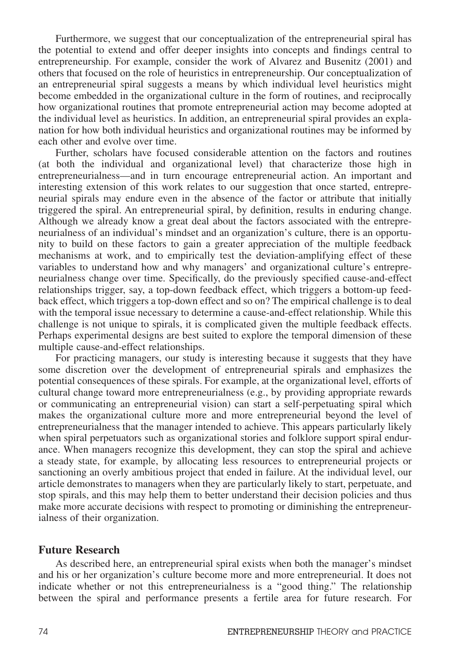Furthermore, we suggest that our conceptualization of the entrepreneurial spiral has the potential to extend and offer deeper insights into concepts and findings central to entrepreneurship. For example, consider the work of Alvarez and Busenitz (2001) and others that focused on the role of heuristics in entrepreneurship. Our conceptualization of an entrepreneurial spiral suggests a means by which individual level heuristics might become embedded in the organizational culture in the form of routines, and reciprocally how organizational routines that promote entrepreneurial action may become adopted at the individual level as heuristics. In addition, an entrepreneurial spiral provides an explanation for how both individual heuristics and organizational routines may be informed by each other and evolve over time.

Further, scholars have focused considerable attention on the factors and routines (at both the individual and organizational level) that characterize those high in entrepreneurialness—and in turn encourage entrepreneurial action. An important and interesting extension of this work relates to our suggestion that once started, entrepreneurial spirals may endure even in the absence of the factor or attribute that initially triggered the spiral. An entrepreneurial spiral, by definition, results in enduring change. Although we already know a great deal about the factors associated with the entrepreneurialness of an individual's mindset and an organization's culture, there is an opportunity to build on these factors to gain a greater appreciation of the multiple feedback mechanisms at work, and to empirically test the deviation-amplifying effect of these variables to understand how and why managers' and organizational culture's entrepreneurialness change over time. Specifically, do the previously specified cause-and-effect relationships trigger, say, a top-down feedback effect, which triggers a bottom-up feedback effect, which triggers a top-down effect and so on? The empirical challenge is to deal with the temporal issue necessary to determine a cause-and-effect relationship. While this challenge is not unique to spirals, it is complicated given the multiple feedback effects. Perhaps experimental designs are best suited to explore the temporal dimension of these multiple cause-and-effect relationships.

For practicing managers, our study is interesting because it suggests that they have some discretion over the development of entrepreneurial spirals and emphasizes the potential consequences of these spirals. For example, at the organizational level, efforts of cultural change toward more entrepreneurialness (e.g., by providing appropriate rewards or communicating an entrepreneurial vision) can start a self-perpetuating spiral which makes the organizational culture more and more entrepreneurial beyond the level of entrepreneurialness that the manager intended to achieve. This appears particularly likely when spiral perpetuators such as organizational stories and folklore support spiral endurance. When managers recognize this development, they can stop the spiral and achieve a steady state, for example, by allocating less resources to entrepreneurial projects or sanctioning an overly ambitious project that ended in failure. At the individual level, our article demonstrates to managers when they are particularly likely to start, perpetuate, and stop spirals, and this may help them to better understand their decision policies and thus make more accurate decisions with respect to promoting or diminishing the entrepreneurialness of their organization.

# **Future Research**

As described here, an entrepreneurial spiral exists when both the manager's mindset and his or her organization's culture become more and more entrepreneurial. It does not indicate whether or not this entrepreneurialness is a "good thing." The relationship between the spiral and performance presents a fertile area for future research. For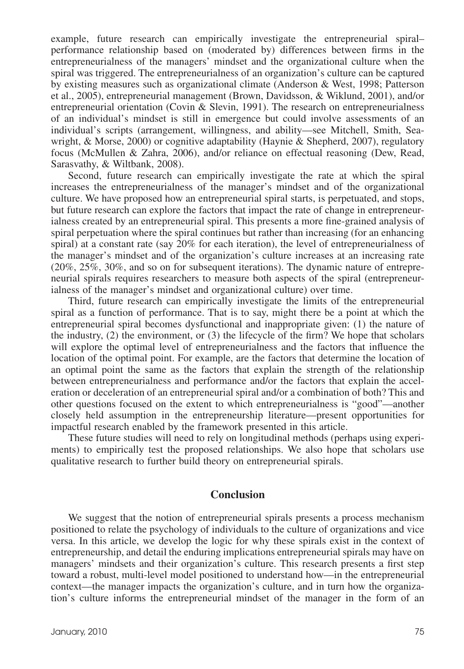example, future research can empirically investigate the entrepreneurial spiral– performance relationship based on (moderated by) differences between firms in the entrepreneurialness of the managers' mindset and the organizational culture when the spiral was triggered. The entrepreneurialness of an organization's culture can be captured by existing measures such as organizational climate (Anderson & West, 1998; Patterson et al., 2005), entrepreneurial management (Brown, Davidsson, & Wiklund, 2001), and/or entrepreneurial orientation (Covin  $\&$  Slevin, 1991). The research on entrepreneurialness of an individual's mindset is still in emergence but could involve assessments of an individual's scripts (arrangement, willingness, and ability—see Mitchell, Smith, Seawright, & Morse, 2000) or cognitive adaptability (Haynie & Shepherd, 2007), regulatory focus (McMullen & Zahra, 2006), and/or reliance on effectual reasoning (Dew, Read, Sarasvathy, & Wiltbank, 2008).

Second, future research can empirically investigate the rate at which the spiral increases the entrepreneurialness of the manager's mindset and of the organizational culture. We have proposed how an entrepreneurial spiral starts, is perpetuated, and stops, but future research can explore the factors that impact the rate of change in entrepreneurialness created by an entrepreneurial spiral. This presents a more fine-grained analysis of spiral perpetuation where the spiral continues but rather than increasing (for an enhancing spiral) at a constant rate (say 20% for each iteration), the level of entrepreneurialness of the manager's mindset and of the organization's culture increases at an increasing rate (20%, 25%, 30%, and so on for subsequent iterations). The dynamic nature of entrepreneurial spirals requires researchers to measure both aspects of the spiral (entrepreneurialness of the manager's mindset and organizational culture) over time.

Third, future research can empirically investigate the limits of the entrepreneurial spiral as a function of performance. That is to say, might there be a point at which the entrepreneurial spiral becomes dysfunctional and inappropriate given: (1) the nature of the industry, (2) the environment, or (3) the lifecycle of the firm? We hope that scholars will explore the optimal level of entrepreneurialness and the factors that influence the location of the optimal point. For example, are the factors that determine the location of an optimal point the same as the factors that explain the strength of the relationship between entrepreneurialness and performance and/or the factors that explain the acceleration or deceleration of an entrepreneurial spiral and/or a combination of both? This and other questions focused on the extent to which entrepreneurialness is "good"—another closely held assumption in the entrepreneurship literature—present opportunities for impactful research enabled by the framework presented in this article.

These future studies will need to rely on longitudinal methods (perhaps using experiments) to empirically test the proposed relationships. We also hope that scholars use qualitative research to further build theory on entrepreneurial spirals.

## **Conclusion**

We suggest that the notion of entrepreneurial spirals presents a process mechanism positioned to relate the psychology of individuals to the culture of organizations and vice versa. In this article, we develop the logic for why these spirals exist in the context of entrepreneurship, and detail the enduring implications entrepreneurial spirals may have on managers' mindsets and their organization's culture. This research presents a first step toward a robust, multi-level model positioned to understand how—in the entrepreneurial context—the manager impacts the organization's culture, and in turn how the organization's culture informs the entrepreneurial mindset of the manager in the form of an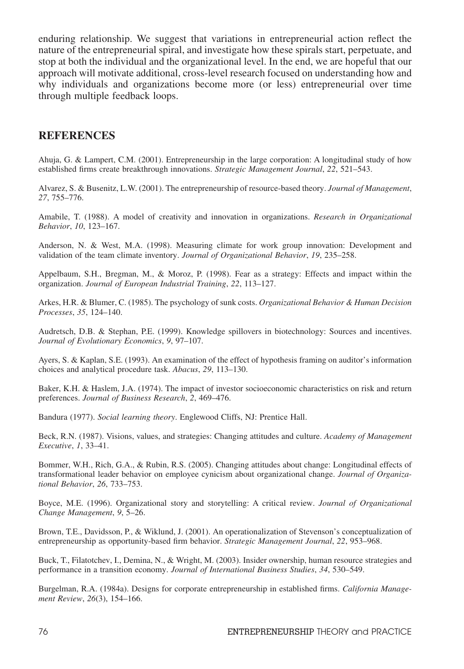enduring relationship. We suggest that variations in entrepreneurial action reflect the nature of the entrepreneurial spiral, and investigate how these spirals start, perpetuate, and stop at both the individual and the organizational level. In the end, we are hopeful that our approach will motivate additional, cross-level research focused on understanding how and why individuals and organizations become more (or less) entrepreneurial over time through multiple feedback loops.

## **REFERENCES**

Ahuja, G. & Lampert, C.M. (2001). Entrepreneurship in the large corporation: A longitudinal study of how established firms create breakthrough innovations. *Strategic Management Journal*, *22*, 521–543.

Alvarez, S. & Busenitz, L.W. (2001). The entrepreneurship of resource-based theory. *Journal of Management*, *27*, 755–776.

Amabile, T. (1988). A model of creativity and innovation in organizations. *Research in Organizational Behavior*, *10*, 123–167.

Anderson, N. & West, M.A. (1998). Measuring climate for work group innovation: Development and validation of the team climate inventory. *Journal of Organizational Behavior*, *19*, 235–258.

Appelbaum, S.H., Bregman, M., & Moroz, P. (1998). Fear as a strategy: Effects and impact within the organization. *Journal of European Industrial Training*, *22*, 113–127.

Arkes, H.R. & Blumer, C. (1985). The psychology of sunk costs. *Organizational Behavior & Human Decision Processes*, *35*, 124–140.

Audretsch, D.B. & Stephan, P.E. (1999). Knowledge spillovers in biotechnology: Sources and incentives. *Journal of Evolutionary Economics*, *9*, 97–107.

Ayers, S. & Kaplan, S.E. (1993). An examination of the effect of hypothesis framing on auditor's information choices and analytical procedure task. *Abacus*, *29*, 113–130.

Baker, K.H. & Haslem, J.A. (1974). The impact of investor socioeconomic characteristics on risk and return preferences. *Journal of Business Research*, *2*, 469–476.

Bandura (1977). *Social learning theory*. Englewood Cliffs, NJ: Prentice Hall.

Beck, R.N. (1987). Visions, values, and strategies: Changing attitudes and culture. *Academy of Management Executive*, *1*, 33–41.

Bommer, W.H., Rich, G.A., & Rubin, R.S. (2005). Changing attitudes about change: Longitudinal effects of transformational leader behavior on employee cynicism about organizational change. *Journal of Organizational Behavior*, *26*, 733–753.

Boyce, M.E. (1996). Organizational story and storytelling: A critical review. *Journal of Organizational Change Management*, *9*, 5–26.

Brown, T.E., Davidsson, P., & Wiklund, J. (2001). An operationalization of Stevenson's conceptualization of entrepreneurship as opportunity-based firm behavior. *Strategic Management Journal*, *22*, 953–968.

Buck, T., Filatotchev, I., Demina, N., & Wright, M. (2003). Insider ownership, human resource strategies and performance in a transition economy. *Journal of International Business Studies*, *34*, 530–549.

Burgelman, R.A. (1984a). Designs for corporate entrepreneurship in established firms. *California Management Review*, *26*(3), 154–166.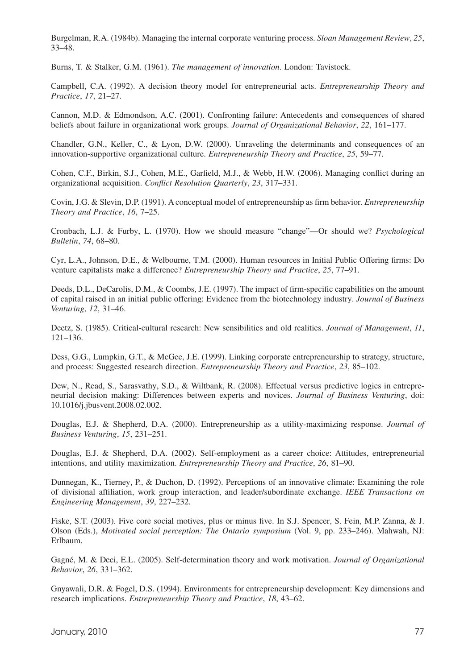Burgelman, R.A. (1984b). Managing the internal corporate venturing process. *Sloan Management Review*, *25*, 33–48.

Burns, T. & Stalker, G.M. (1961). *The management of innovation*. London: Tavistock.

Campbell, C.A. (1992). A decision theory model for entrepreneurial acts. *Entrepreneurship Theory and Practice*, *17*, 21–27.

Cannon, M.D. & Edmondson, A.C. (2001). Confronting failure: Antecedents and consequences of shared beliefs about failure in organizational work groups. *Journal of Organizational Behavior*, *22*, 161–177.

Chandler, G.N., Keller, C., & Lyon, D.W. (2000). Unraveling the determinants and consequences of an innovation-supportive organizational culture. *Entrepreneurship Theory and Practice*, *25*, 59–77.

Cohen, C.F., Birkin, S.J., Cohen, M.E., Garfield, M.J., & Webb, H.W. (2006). Managing conflict during an organizational acquisition. *Conflict Resolution Quarterly*, *23*, 317–331.

Covin, J.G. & Slevin, D.P. (1991). A conceptual model of entrepreneurship as firm behavior. *Entrepreneurship Theory and Practice*, *16*, 7–25.

Cronbach, L.J. & Furby, L. (1970). How we should measure "change"—Or should we? *Psychological Bulletin*, *74*, 68–80.

Cyr, L.A., Johnson, D.E., & Welbourne, T.M. (2000). Human resources in Initial Public Offering firms: Do venture capitalists make a difference? *Entrepreneurship Theory and Practice*, *25*, 77–91.

Deeds, D.L., DeCarolis, D.M., & Coombs, J.E. (1997). The impact of firm-specific capabilities on the amount of capital raised in an initial public offering: Evidence from the biotechnology industry. *Journal of Business Venturing*, *12*, 31–46.

Deetz, S. (1985). Critical-cultural research: New sensibilities and old realities. *Journal of Management*, *11*, 121–136.

Dess, G.G., Lumpkin, G.T., & McGee, J.E. (1999). Linking corporate entrepreneurship to strategy, structure, and process: Suggested research direction. *Entrepreneurship Theory and Practice*, *23*, 85–102.

Dew, N., Read, S., Sarasvathy, S.D., & Wiltbank, R. (2008). Effectual versus predictive logics in entrepreneurial decision making: Differences between experts and novices. *Journal of Business Venturing*, doi: 10.1016/j.jbusvent.2008.02.002.

Douglas, E.J. & Shepherd, D.A. (2000). Entrepreneurship as a utility-maximizing response. *Journal of Business Venturing*, *15*, 231–251.

Douglas, E.J. & Shepherd, D.A. (2002). Self-employment as a career choice: Attitudes, entrepreneurial intentions, and utility maximization. *Entrepreneurship Theory and Practice*, *26*, 81–90.

Dunnegan, K., Tierney, P., & Duchon, D. (1992). Perceptions of an innovative climate: Examining the role of divisional affiliation, work group interaction, and leader/subordinate exchange. *IEEE Transactions on Engineering Management*, *39*, 227–232.

Fiske, S.T. (2003). Five core social motives, plus or minus five. In S.J. Spencer, S. Fein, M.P. Zanna, & J. Olson (Eds.), *Motivated social perception: The Ontario symposium* (Vol. 9, pp. 233–246). Mahwah, NJ: Erlbaum.

Gagné, M. & Deci, E.L. (2005). Self-determination theory and work motivation. *Journal of Organizational Behavior*, *26*, 331–362.

Gnyawali, D.R. & Fogel, D.S. (1994). Environments for entrepreneurship development: Key dimensions and research implications. *Entrepreneurship Theory and Practice*, *18*, 43–62.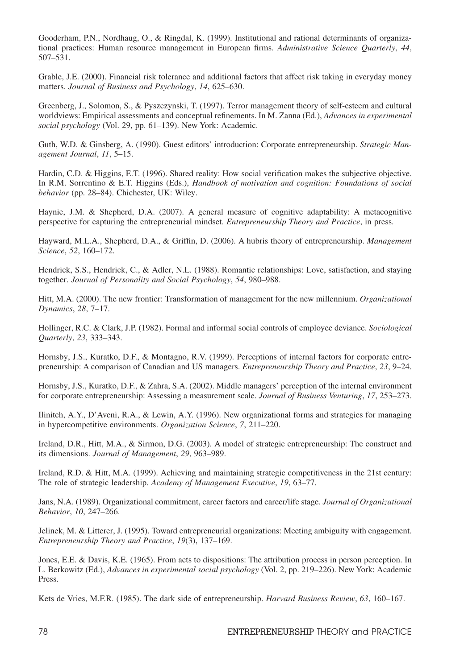Gooderham, P.N., Nordhaug, O., & Ringdal, K. (1999). Institutional and rational determinants of organizational practices: Human resource management in European firms. *Administrative Science Quarterly*, *44*, 507–531.

Grable, J.E. (2000). Financial risk tolerance and additional factors that affect risk taking in everyday money matters. *Journal of Business and Psychology*, *14*, 625–630.

Greenberg, J., Solomon, S., & Pyszczynski, T. (1997). Terror management theory of self-esteem and cultural worldviews: Empirical assessments and conceptual refinements. In M. Zanna (Ed.), *Advances in experimental social psychology* (Vol. 29, pp. 61–139). New York: Academic.

Guth, W.D. & Ginsberg, A. (1990). Guest editors' introduction: Corporate entrepreneurship. *Strategic Management Journal*, *11*, 5–15.

Hardin, C.D. & Higgins, E.T. (1996). Shared reality: How social verification makes the subjective objective. In R.M. Sorrentino & E.T. Higgins (Eds.), *Handbook of motivation and cognition: Foundations of social behavior* (pp. 28–84). Chichester, UK: Wiley.

Haynie, J.M. & Shepherd, D.A. (2007). A general measure of cognitive adaptability: A metacognitive perspective for capturing the entrepreneurial mindset. *Entrepreneurship Theory and Practice*, in press.

Hayward, M.L.A., Shepherd, D.A., & Griffin, D. (2006). A hubris theory of entrepreneurship. *Management Science*, *52*, 160–172.

Hendrick, S.S., Hendrick, C., & Adler, N.L. (1988). Romantic relationships: Love, satisfaction, and staying together. *Journal of Personality and Social Psychology*, *54*, 980–988.

Hitt, M.A. (2000). The new frontier: Transformation of management for the new millennium. *Organizational Dynamics*, *28*, 7–17.

Hollinger, R.C. & Clark, J.P. (1982). Formal and informal social controls of employee deviance. *Sociological Quarterly*, *23*, 333–343.

Hornsby, J.S., Kuratko, D.F., & Montagno, R.V. (1999). Perceptions of internal factors for corporate entrepreneurship: A comparison of Canadian and US managers. *Entrepreneurship Theory and Practice*, *23*, 9–24.

Hornsby, J.S., Kuratko, D.F., & Zahra, S.A. (2002). Middle managers' perception of the internal environment for corporate entrepreneurship: Assessing a measurement scale. *Journal of Business Venturing*, *17*, 253–273.

Ilinitch, A.Y., D'Aveni, R.A., & Lewin, A.Y. (1996). New organizational forms and strategies for managing in hypercompetitive environments. *Organization Science*, *7*, 211–220.

Ireland, D.R., Hitt, M.A., & Sirmon, D.G. (2003). A model of strategic entrepreneurship: The construct and its dimensions. *Journal of Management*, *29*, 963–989.

Ireland, R.D. & Hitt, M.A. (1999). Achieving and maintaining strategic competitiveness in the 21st century: The role of strategic leadership. *Academy of Management Executive*, *19*, 63–77.

Jans, N.A. (1989). Organizational commitment, career factors and career/life stage. *Journal of Organizational Behavior*, *10*, 247–266.

Jelinek, M. & Litterer, J. (1995). Toward entrepreneurial organizations: Meeting ambiguity with engagement. *Entrepreneurship Theory and Practice*, *19*(3), 137–169.

Jones, E.E. & Davis, K.E. (1965). From acts to dispositions: The attribution process in person perception. In L. Berkowitz (Ed.), *Advances in experimental social psychology* (Vol. 2, pp. 219–226). New York: Academic Press.

Kets de Vries, M.F.R. (1985). The dark side of entrepreneurship. *Harvard Business Review*, *63*, 160–167.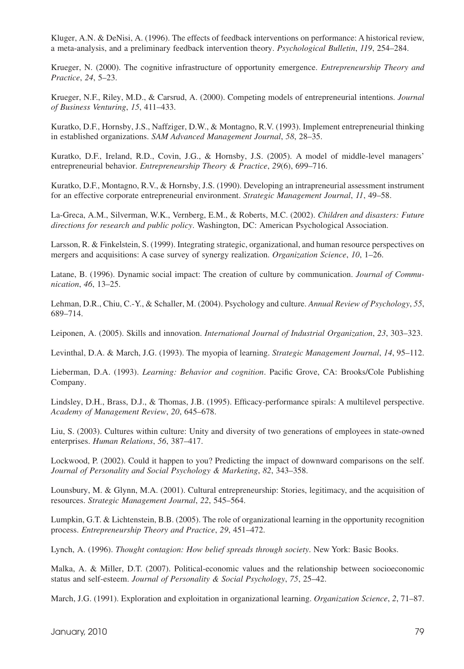Kluger, A.N. & DeNisi, A. (1996). The effects of feedback interventions on performance: A historical review, a meta-analysis, and a preliminary feedback intervention theory. *Psychological Bulletin*, *119*, 254–284.

Krueger, N. (2000). The cognitive infrastructure of opportunity emergence. *Entrepreneurship Theory and Practice*, *24*, 5–23.

Krueger, N.F., Riley, M.D., & Carsrud, A. (2000). Competing models of entrepreneurial intentions. *Journal of Business Venturing*, *15*, 411–433.

Kuratko, D.F., Hornsby, J.S., Naffziger, D.W., & Montagno, R.V. (1993). Implement entrepreneurial thinking in established organizations. *SAM Advanced Management Journal*, *58*, 28–35.

Kuratko, D.F., Ireland, R.D., Covin, J.G., & Hornsby, J.S. (2005). A model of middle-level managers' entrepreneurial behavior. *Entrepreneurship Theory & Practice*, *29*(6), 699–716.

Kuratko, D.F., Montagno, R.V., & Hornsby, J.S. (1990). Developing an intrapreneurial assessment instrument for an effective corporate entrepreneurial environment. *Strategic Management Journal*, *11*, 49–58.

La-Greca, A.M., Silverman, W.K., Vernberg, E.M., & Roberts, M.C. (2002). *Children and disasters: Future directions for research and public policy*. Washington, DC: American Psychological Association.

Larsson, R. & Finkelstein, S. (1999). Integrating strategic, organizational, and human resource perspectives on mergers and acquisitions: A case survey of synergy realization. *Organization Science*, *10*, 1–26.

Latane, B. (1996). Dynamic social impact: The creation of culture by communication. *Journal of Communication*, *46*, 13–25.

Lehman, D.R., Chiu, C.-Y., & Schaller, M. (2004). Psychology and culture. *Annual Review of Psychology*, *55*, 689–714.

Leiponen, A. (2005). Skills and innovation. *International Journal of Industrial Organization*, *23*, 303–323.

Levinthal, D.A. & March, J.G. (1993). The myopia of learning. *Strategic Management Journal*, *14*, 95–112.

Lieberman, D.A. (1993). *Learning: Behavior and cognition*. Pacific Grove, CA: Brooks/Cole Publishing Company.

Lindsley, D.H., Brass, D.J., & Thomas, J.B. (1995). Efficacy-performance spirals: A multilevel perspective. *Academy of Management Review*, *20*, 645–678.

Liu, S. (2003). Cultures within culture: Unity and diversity of two generations of employees in state-owned enterprises. *Human Relations*, *56*, 387–417.

Lockwood, P. (2002). Could it happen to you? Predicting the impact of downward comparisons on the self. *Journal of Personality and Social Psychology & Marketing*, *82*, 343–358.

Lounsbury, M. & Glynn, M.A. (2001). Cultural entrepreneurship: Stories, legitimacy, and the acquisition of resources. *Strategic Management Journal*, *22*, 545–564.

Lumpkin, G.T. & Lichtenstein, B.B. (2005). The role of organizational learning in the opportunity recognition process. *Entrepreneurship Theory and Practice*, *29*, 451–472.

Lynch, A. (1996). *Thought contagion: How belief spreads through society*. New York: Basic Books.

Malka, A. & Miller, D.T. (2007). Political-economic values and the relationship between socioeconomic status and self-esteem. *Journal of Personality & Social Psychology*, *75*, 25–42.

March, J.G. (1991). Exploration and exploitation in organizational learning. *Organization Science*, *2*, 71–87.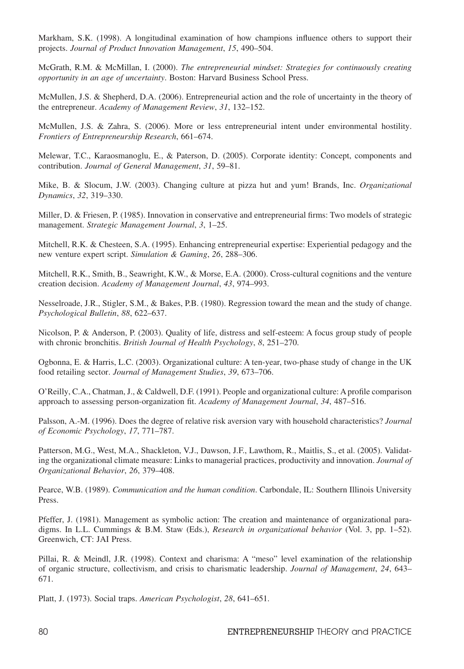Markham, S.K. (1998). A longitudinal examination of how champions influence others to support their projects. *Journal of Product Innovation Management*, *15*, 490–504.

McGrath, R.M. & McMillan, I. (2000). *The entrepreneurial mindset: Strategies for continuously creating opportunity in an age of uncertainty*. Boston: Harvard Business School Press.

McMullen, J.S. & Shepherd, D.A. (2006). Entrepreneurial action and the role of uncertainty in the theory of the entrepreneur. *Academy of Management Review*, *31*, 132–152.

McMullen, J.S. & Zahra, S. (2006). More or less entrepreneurial intent under environmental hostility. *Frontiers of Entrepreneurship Research*, 661–674.

Melewar, T.C., Karaosmanoglu, E., & Paterson, D. (2005). Corporate identity: Concept, components and contribution. *Journal of General Management*, *31*, 59–81.

Mike, B. & Slocum, J.W. (2003). Changing culture at pizza hut and yum! Brands, Inc. *Organizational Dynamics*, *32*, 319–330.

Miller, D. & Friesen, P. (1985). Innovation in conservative and entrepreneurial firms: Two models of strategic management. *Strategic Management Journal*, *3*, 1–25.

Mitchell, R.K. & Chesteen, S.A. (1995). Enhancing entrepreneurial expertise: Experiential pedagogy and the new venture expert script. *Simulation & Gaming*, *26*, 288–306.

Mitchell, R.K., Smith, B., Seawright, K.W., & Morse, E.A. (2000). Cross-cultural cognitions and the venture creation decision. *Academy of Management Journal*, *43*, 974–993.

Nesselroade, J.R., Stigler, S.M., & Bakes, P.B. (1980). Regression toward the mean and the study of change. *Psychological Bulletin*, *88*, 622–637.

Nicolson, P. & Anderson, P. (2003). Quality of life, distress and self-esteem: A focus group study of people with chronic bronchitis. *British Journal of Health Psychology*, *8*, 251–270.

Ogbonna, E. & Harris, L.C. (2003). Organizational culture: A ten-year, two-phase study of change in the UK food retailing sector. *Journal of Management Studies*, *39*, 673–706.

O'Reilly, C.A., Chatman, J., & Caldwell, D.F. (1991). People and organizational culture: A profile comparison approach to assessing person-organization fit. *Academy of Management Journal*, *34*, 487–516.

Palsson, A.-M. (1996). Does the degree of relative risk aversion vary with household characteristics? *Journal of Economic Psychology*, *17*, 771–787.

Patterson, M.G., West, M.A., Shackleton, V.J., Dawson, J.F., Lawthom, R., Maitlis, S., et al. (2005). Validating the organizational climate measure: Links to managerial practices, productivity and innovation. *Journal of Organizational Behavior*, *26*, 379–408.

Pearce, W.B. (1989). *Communication and the human condition*. Carbondale, IL: Southern Illinois University Press.

Pfeffer, J. (1981). Management as symbolic action: The creation and maintenance of organizational paradigms. In L.L. Cummings & B.M. Staw (Eds.), *Research in organizational behavior* (Vol. 3, pp. 1–52). Greenwich, CT: JAI Press.

Pillai, R. & Meindl, J.R. (1998). Context and charisma: A "meso" level examination of the relationship of organic structure, collectivism, and crisis to charismatic leadership. *Journal of Management*, *24*, 643– 671.

Platt, J. (1973). Social traps. *American Psychologist*, *28*, 641–651.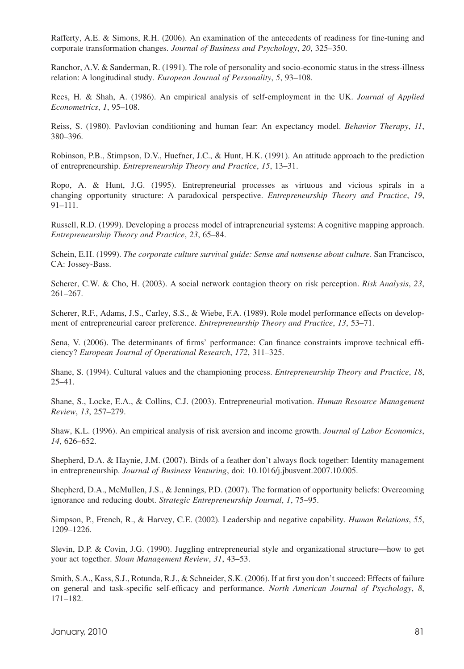Rafferty, A.E. & Simons, R.H. (2006). An examination of the antecedents of readiness for fine-tuning and corporate transformation changes. *Journal of Business and Psychology*, *20*, 325–350.

Ranchor, A.V. & Sanderman, R. (1991). The role of personality and socio-economic status in the stress-illness relation: A longitudinal study. *European Journal of Personality*, *5*, 93–108.

Rees, H. & Shah, A. (1986). An empirical analysis of self-employment in the UK. *Journal of Applied Econometrics*, *1*, 95–108.

Reiss, S. (1980). Pavlovian conditioning and human fear: An expectancy model. *Behavior Therapy*, *11*, 380–396.

Robinson, P.B., Stimpson, D.V., Huefner, J.C., & Hunt, H.K. (1991). An attitude approach to the prediction of entrepreneurship. *Entrepreneurship Theory and Practice*, *15*, 13–31.

Ropo, A. & Hunt, J.G. (1995). Entrepreneurial processes as virtuous and vicious spirals in a changing opportunity structure: A paradoxical perspective. *Entrepreneurship Theory and Practice*, *19*, 91–111.

Russell, R.D. (1999). Developing a process model of intrapreneurial systems: A cognitive mapping approach. *Entrepreneurship Theory and Practice*, *23*, 65–84.

Schein, E.H. (1999). *The corporate culture survival guide: Sense and nonsense about culture*. San Francisco, CA: Jossey-Bass.

Scherer, C.W. & Cho, H. (2003). A social network contagion theory on risk perception. *Risk Analysis*, *23*, 261–267.

Scherer, R.F., Adams, J.S., Carley, S.S., & Wiebe, F.A. (1989). Role model performance effects on development of entrepreneurial career preference. *Entrepreneurship Theory and Practice*, *13*, 53–71.

Sena, V. (2006). The determinants of firms' performance: Can finance constraints improve technical efficiency? *European Journal of Operational Research*, *172*, 311–325.

Shane, S. (1994). Cultural values and the championing process. *Entrepreneurship Theory and Practice*, *18*, 25–41.

Shane, S., Locke, E.A., & Collins, C.J. (2003). Entrepreneurial motivation. *Human Resource Management Review*, *13*, 257–279.

Shaw, K.L. (1996). An empirical analysis of risk aversion and income growth. *Journal of Labor Economics*, *14*, 626–652.

Shepherd, D.A. & Haynie, J.M. (2007). Birds of a feather don't always flock together: Identity management in entrepreneurship. *Journal of Business Venturing*, doi: 10.1016/j.jbusvent.2007.10.005.

Shepherd, D.A., McMullen, J.S., & Jennings, P.D. (2007). The formation of opportunity beliefs: Overcoming ignorance and reducing doubt. *Strategic Entrepreneurship Journal*, *1*, 75–95.

Simpson, P., French, R., & Harvey, C.E. (2002). Leadership and negative capability. *Human Relations*, *55*, 1209–1226.

Slevin, D.P. & Covin, J.G. (1990). Juggling entrepreneurial style and organizational structure—how to get your act together. *Sloan Management Review*, *31*, 43–53.

Smith, S.A., Kass, S.J., Rotunda, R.J., & Schneider, S.K. (2006). If at first you don't succeed: Effects of failure on general and task-specific self-efficacy and performance. *North American Journal of Psychology*, *8*, 171–182.